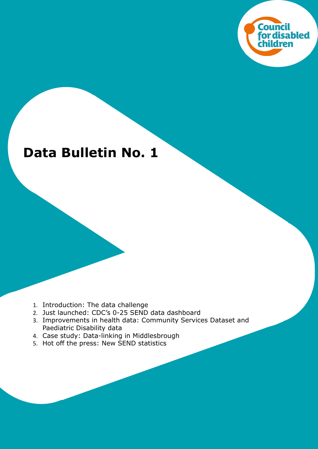

# **Data Bulletin No. 1**

- 1. Introduction: The data challenge
- 2. Just launched: CDC's 0-25 SEND data dashboard
- 3. Improvements in health data: Community Services Dataset and Paediatric Disability data
- 4. Case study: Data-linking in Middlesbrough
- 5. Hot off the press: New SEND statistics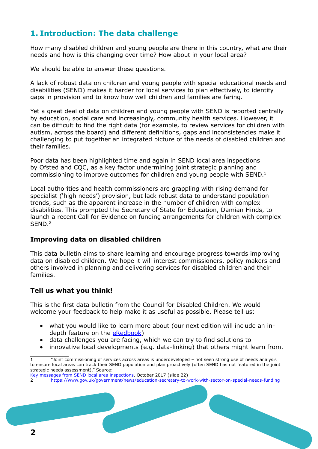# **1. Introduction: The data challenge**

How many disabled children and young people are there in this country, what are their needs and how is this changing over time? How about in your local area?

We should be able to answer these questions.

A lack of robust data on children and young people with special educational needs and disabilities (SEND) makes it harder for local services to plan effectively, to identify gaps in provision and to know how well children and families are faring.

Yet a great deal of data on children and young people with SEND is reported centrally by education, social care and increasingly, community health services. However, it can be difficult to find the right data (for example, to review services for children with autism, across the board) and different definitions, gaps and inconsistencies make it challenging to put together an integrated picture of the needs of disabled children and their families.

Poor data has been highlighted time and again in SEND local area inspections by Ofsted and CQC, as a key factor undermining joint strategic planning and commissioning to improve outcomes for children and young people with SEND.<sup>1</sup>

Local authorities and health commissioners are grappling with rising demand for specialist ('high needs') provision, but lack robust data to understand population trends, such as the apparent increase in the number of children with complex disabilities. This prompted the Secretary of State for Education, Damian Hinds, to launch a recent Call for Evidence on funding arrangements for children with complex SEND.<sup>2</sup>

#### **Improving data on disabled children**

This data bulletin aims to share learning and encourage progress towards improving data on disabled children. We hope it will interest commissioners, policy makers and others involved in planning and delivering services for disabled children and their families.

#### **Tell us what you think!**

This is the first data bulletin from the Council for Disabled Children. We would welcome your feedback to help make it as useful as possible. Please tell us:

- • what you would like to learn more about (our next edition will include an indepth feature on the [eRedbook\)](https://www.eredbook.org.uk/)
- data challenges you are facing, which we can try to find solutions to
- innovative local developments (e.g. data-linking) that others might learn from.

<sup>1 &</sup>quot;Joint commissioning of services across areas is underdeveloped – not seen strong use of needs analysis to ensure local areas can track their SEND population and plan proactively (often SEND has not featured in the joint strategic needs assessment)." Source:

[Key messages from SEND local area inspections](https://www.slideshare.net/Ofstednews/keymessagesfromlocalareasendinspections-80652913), October 2017 (slide 22)

<sup>2</sup> <https://www.gov.uk/government/news/education-secretary-to-work-with-sector-on-special-needs-funding>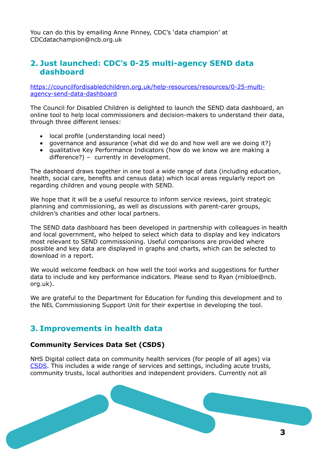You can do this by emailing Anne Pinney, CDC's 'data champion' at CDC[datachampion@ncb.org.uk](mailto:datachampion@ncb.org.uk) 

## **2. Just launched: CDC's 0-25 multi-agency SEND data dashboard**

[https://councilfordisabledchildren.org.uk/help-resources/resources/0-25-multi](https://councilfordisabledchildren.org.uk/help-resources/resources/0-25-multi-agency-send-data-dashboard)[agency-send-data-dashboard](https://councilfordisabledchildren.org.uk/help-resources/resources/0-25-multi-agency-send-data-dashboard)

The Council for Disabled Children is delighted to launch the SEND data dashboard, an online tool to help local commissioners and decision-makers to understand their data, through three different lenses:

- • local profile (understanding local need)
- governance and assurance (what did we do and how well are we doing it?)
- qualitative Key Performance Indicators (how do we know we are making a difference?) – currently in development.

The dashboard draws together in one tool a wide range of data (including education, health, social care, benefits and census data) which local areas regularly report on regarding children and young people with SEND.

We hope that it will be a useful resource to inform service reviews, joint strategic planning and commissioning, as well as discussions with parent-carer groups, children's charities and other local partners.

The SEND data dashboard has been developed in partnership with colleagues in health and local government, who helped to select which data to display and key indicators most relevant to SEND commissioning. Useful comparisons are provided where possible and key data are displayed in graphs and charts, which can be selected to download in a report.

We would welcome feedback on how well the tool works and suggestions for further data to include and key performance indicators. Please send to Ryan (rnibloe@ncb. org.uk).

We are grateful to the Department for Education for funding this development and to the NEL Commissioning Support Unit for their expertise in developing the tool.

# **3. Improvements in health data**

#### **Community Services Data Set (CSDS)**

NHS Digital collect data on community health services (for people of all ages) via [CSDS](https://digital.nhs.uk/data-and-information/data-collections-and-data-sets/data-sets/community-services-data-set). This includes a wide range of services and settings, including acute trusts, community trusts, local authorities and independent providers. Currently not all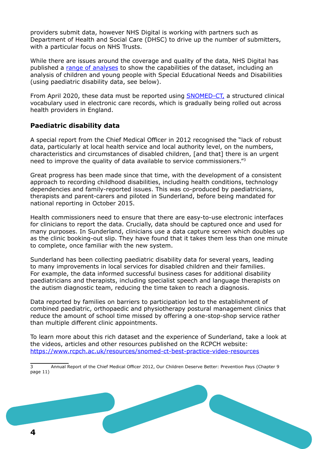providers submit data, however NHS Digital is working with partners such as Department of Health and Social Care (DHSC) to drive up the number of submitters, with a particular focus on NHS Trusts.

While there are issues around the coverage and quality of the data, NHS Digital has published a [range of analyses](https://digital.nhs.uk/data-and-information/data-collections-and-data-sets/data-sets/community-services-data-set/community-services-data-set-supplementary-reports) to show the capabilities of the dataset, including an analysis of children and young people with Special Educational Needs and Disabilities (using paediatric disability data, see below).

From April 2020, these data must be reported using [SNOMED-CT](https://digital.nhs.uk/services/terminology-and-classifications/snomed-ct), a structured clinical vocabulary used in electronic care records, which is gradually being rolled out across health providers in England.

### **Paediatric disability data**

A special report from the Chief Medical Officer in 2012 recognised the "lack of robust data, particularly at local health service and local authority level, on the numbers, characteristics and circumstances of disabled children, [and that] there is an urgent need to improve the quality of data available to service commissioners."<sup>3</sup>

Great progress has been made since that time, with the development of a consistent approach to recording childhood disabilities, including health conditions, technology dependencies and family-reported issues. This was co-produced by paediatricians, therapists and parent-carers and piloted in Sunderland, before being mandated for national reporting in October 2015.

Health commissioners need to ensure that there are easy-to-use electronic interfaces for clinicians to report the data. Crucially, data should be captured once and used for many purposes. In Sunderland, clinicians use a data capture screen which doubles up as the clinic booking-out slip. They have found that it takes them less than one minute to complete, once familiar with the new system.

Sunderland has been collecting paediatric disability data for several years, leading to many improvements in local services for disabled children and their families. For example, the data informed successful business cases for additional disability paediatricians and therapists, including specialist speech and language therapists on the autism diagnostic team, reducing the time taken to reach a diagnosis.

Data reported by families on barriers to participation led to the establishment of combined paediatric, orthopaedic and physiotherapy postural management clinics that reduce the amount of school time missed by offering a one-stop-shop service rather than multiple different clinic appointments.

To learn more about this rich dataset and the experience of Sunderland, take a look at the videos, articles and other resources published on the RCPCH website: <https://www.rcpch.ac.uk/resources/snomed-ct-best-practice-video-resources>

<sup>3</sup> Annual Report of the Chief Medical Officer 2012, Our Children Deserve Better: Prevention Pays (Chapter 9 page 11)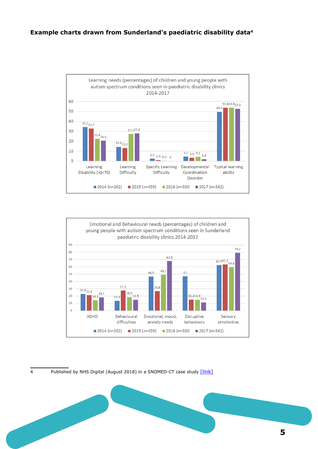



4 Published by NHS Digital (August 2018) in a SNOMED-CT case study [\[link\]](https://hscic.kahootz.com/connect.ti/t_c_home/viewcontent?contentid=301171)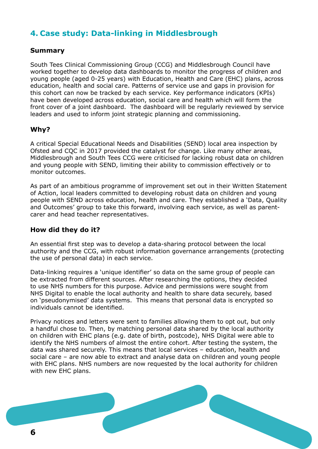# **4. Case study: Data-linking in Middlesbrough**

#### **Summary**

South Tees Clinical Commissioning Group (CCG) and Middlesbrough Council have worked together to develop data dashboards to monitor the progress of children and young people (aged 0-25 years) with Education, Health and Care (EHC) plans, across education, health and social care. Patterns of service use and gaps in provision for this cohort can now be tracked by each service. Key performance indicators (KPIs) have been developed across education, social care and health which will form the front cover of a joint dashboard. The dashboard will be regularly reviewed by service leaders and used to inform joint strategic planning and commissioning.

#### **Why?**

A critical Special Educational Needs and Disabilities (SEND) local area inspection by Ofsted and CQC in 2017 provided the catalyst for change. Like many other areas, Middlesbrough and South Tees CCG were criticised for lacking robust data on children and young people with SEND, limiting their ability to commission effectively or to monitor outcomes.

As part of an ambitious programme of improvement set out in their Written Statement of Action, local leaders committed to developing robust data on children and young people with SEND across education, health and care. They established a 'Data, Quality and Outcomes' group to take this forward, involving each service, as well as parentcarer and head teacher representatives.

#### **How did they do it?**

An essential first step was to develop a data-sharing protocol between the local authority and the CCG, with robust information governance arrangements (protecting the use of personal data) in each service.

Data-linking requires a 'unique identifier' so data on the same group of people can be extracted from different sources. After researching the options, they decided to use NHS numbers for this purpose. Advice and permissions were sought from NHS Digital to enable the local authority and health to share data securely, based on 'pseudonymised' data systems. This means that personal data is encrypted so individuals cannot be identified.

Privacy notices and letters were sent to families allowing them to opt out, but only a handful chose to. Then, by matching personal data shared by the local authority on children with EHC plans (e.g. date of birth, postcode), NHS Digital were able to identify the NHS numbers of almost the entire cohort. After testing the system, the data was shared securely. This means that local services – education, health and social care – are now able to extract and analyse data on children and young people with EHC plans. NHS numbers are now requested by the local authority for children with new EHC plans.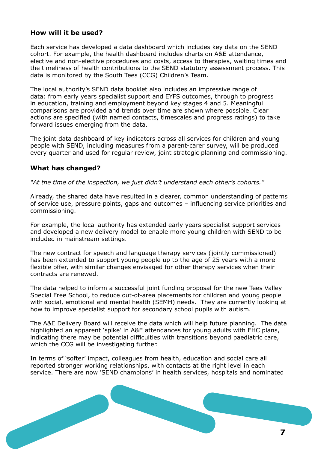#### **How will it be used?**

Each service has developed a data dashboard which includes key data on the SEND cohort. For example, the health dashboard includes charts on A&E attendance, elective and non-elective procedures and costs, access to therapies, waiting times and the timeliness of health contributions to the SEND statutory assessment process. This data is monitored by the South Tees (CCG) Children's Team.

The local authority's SEND data booklet also includes an impressive range of data: from early years specialist support and EYFS outcomes, through to progress in education, training and employment beyond key stages 4 and 5. Meaningful comparisons are provided and trends over time are shown where possible. Clear actions are specified (with named contacts, timescales and progress ratings) to take forward issues emerging from the data.

The joint data dashboard of key indicators across all services for children and young people with SEND, including measures from a parent-carer survey, will be produced every quarter and used for regular review, joint strategic planning and commissioning.

#### **What has changed?**

*"At the time of the inspection, we just didn't understand each other's cohorts."*

Already, the shared data have resulted in a clearer, common understanding of patterns of service use, pressure points, gaps and outcomes – influencing service priorities and commissioning.

For example, the local authority has extended early years specialist support services and developed a new delivery model to enable more young children with SEND to be included in mainstream settings.

The new contract for speech and language therapy services (jointly commissioned) has been extended to support young people up to the age of 25 years with a more flexible offer, with similar changes envisaged for other therapy services when their contracts are renewed.

The data helped to inform a successful joint funding proposal for the new Tees Valley Special Free School, to reduce out-of-area placements for children and young people with social, emotional and mental health (SEMH) needs. They are currently looking at how to improve specialist support for secondary school pupils with autism.

The A&E Delivery Board will receive the data which will help future planning. The data highlighted an apparent 'spike' in A&E attendances for young adults with EHC plans, indicating there may be potential difficulties with transitions beyond paediatric care, which the CCG will be investigating further.

In terms of 'softer' impact, colleagues from health, education and social care all reported stronger working relationships, with contacts at the right level in each service. There are now 'SEND champions' in health services, hospitals and nominated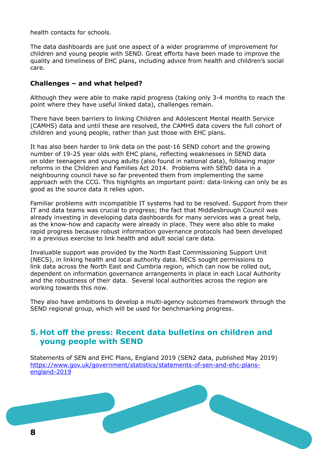health contacts for schools.

The data dashboards are just one aspect of a wider programme of improvement for children and young people with SEND. Great efforts have been made to improve the quality and timeliness of EHC plans, including advice from health and children's social care.

#### **Challenges – and what helped?**

Although they were able to make rapid progress (taking only 3-4 months to reach the point where they have useful linked data), challenges remain.

There have been barriers to linking Children and Adolescent Mental Health Service (CAMHS) data and until these are resolved, the CAMHS data covers the full cohort of children and young people, rather than just those with EHC plans.

It has also been harder to link data on the post-16 SEND cohort and the growing number of 19-25 year olds with EHC plans, reflecting weaknesses in SEND data on older teenagers and young adults (also found in national data), following major reforms in the Children and Families Act 2014. Problems with SEND data in a neighbouring council have so far prevented them from implementing the same approach with the CCG. This highlights an important point: data-linking can only be as good as the source data it relies upon.

Familiar problems with incompatible IT systems had to be resolved. Support from their IT and data teams was crucial to progress; the fact that Middlesbrough Council was already investing in developing data dashboards for many services was a great help, as the know-how and capacity were already in place. They were also able to make rapid progress because robust information governance protocols had been developed in a previous exercise to link health and adult social care data.

Invaluable support was provided by the North East Commissioning Support Unit (NECS), in linking health and local authority data. NECS sought permissions to link data across the North East and Cumbria region, which can now be rolled out, dependent on information governance arrangements in place in each Local Authority and the robustness of their data. Several local authorities across the region are working towards this now.

They also have ambitions to develop a multi-agency outcomes framework through the SEND regional group, which will be used for benchmarking progress.

## **5. Hot off the press: Recent data bulletins on children and young people with SEND**

Statements of SEN and EHC Plans, England 2019 (SEN2 data, published May 2019) [https://www.gov.uk/government/statistics/statements-of-sen-and-ehc-plans](https://www.gov.uk/government/statistics/statements-of-sen-and-ehc-plans-england-2019)[england-2019](https://www.gov.uk/government/statistics/statements-of-sen-and-ehc-plans-england-2019)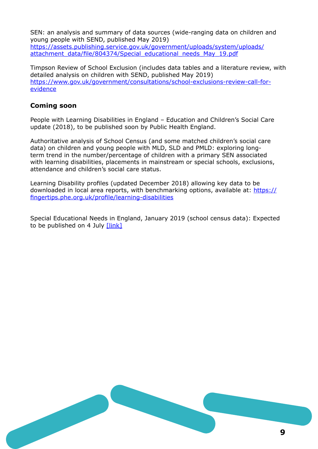SEN: an analysis and summary of data sources (wide-ranging data on children and young people with SEND, published May 2019) [https://assets.publishing.service.gov.uk/government/uploads/system/uploads/](https://assets.publishing.service.gov.uk/government/uploads/system/uploads/attachment_data/file/804374/Special_educational_needs_May_19.pdf) [attachment\\_data/file/804374/Special\\_educational\\_needs\\_May\\_19.pdf](https://assets.publishing.service.gov.uk/government/uploads/system/uploads/attachment_data/file/804374/Special_educational_needs_May_19.pdf)

Timpson Review of School Exclusion (includes data tables and a literature review, with detailed analysis on children with SEND, published May 2019) [https://www.gov.uk/government/consultations/school-exclusions-review-call-for](https://www.gov.uk/government/consultations/school-exclusions-review-call-for-evidence)[evidence](https://www.gov.uk/government/consultations/school-exclusions-review-call-for-evidence)

#### **Coming soon**

People with Learning Disabilities in England – Education and Children's Social Care update (2018), to be published soon by Public Health England.

Authoritative analysis of School Census (and some matched children's social care data) on children and young people with MLD, SLD and PMLD: exploring longterm trend in the number/percentage of children with a primary SEN associated with learning disabilities, placements in mainstream or special schools, exclusions, attendance and children's social care status.

Learning Disability profiles (updated December 2018) allowing key data to be downloaded in local area reports, with benchmarking options, available at: [https://](https://fingertips.phe.org.uk/profile/learning-disabilities) [fingertips.phe.org.uk/profile/learning-disabilities](https://fingertips.phe.org.uk/profile/learning-disabilities)

Special Educational Needs in England, January 2019 (school census data): Expected to be published on 4 July [\[link\]](https://www.gov.uk/government/statistics/announcements/special-educational-needs-in-england-january-2019)